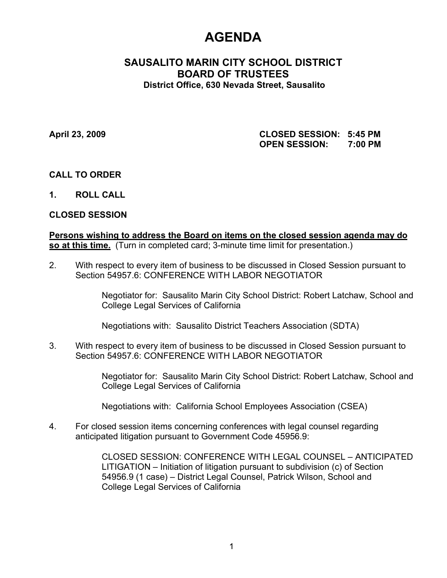# **AGENDA**

# **SAUSALITO MARIN CITY SCHOOL DISTRICT BOARD OF TRUSTEES District Office, 630 Nevada Street, Sausalito**

**April 23, 2009 CLOSED SESSION: 5:45 PM OPEN SESSION: 7:00 PM**

## **CALL TO ORDER**

**1. ROLL CALL**

## **CLOSED SESSION**

**Persons wishing to address the Board on items on the closed session agenda may do so at this time.** (Turn in completed card; 3-minute time limit for presentation.)

2. With respect to every item of business to be discussed in Closed Session pursuant to Section 54957.6: CONFERENCE WITH LABOR NEGOTIATOR

> Negotiator for: Sausalito Marin City School District: Robert Latchaw, School and College Legal Services of California

Negotiations with: Sausalito District Teachers Association (SDTA)

3. With respect to every item of business to be discussed in Closed Session pursuant to Section 54957.6: CONFERENCE WITH LABOR NEGOTIATOR

> Negotiator for: Sausalito Marin City School District: Robert Latchaw, School and College Legal Services of California

Negotiations with: California School Employees Association (CSEA)

4. For closed session items concerning conferences with legal counsel regarding anticipated litigation pursuant to Government Code 45956.9:

> CLOSED SESSION: CONFERENCE WITH LEGAL COUNSEL – ANTICIPATED LITIGATION – Initiation of litigation pursuant to subdivision (c) of Section 54956.9 (1 case) – District Legal Counsel, Patrick Wilson, School and College Legal Services of California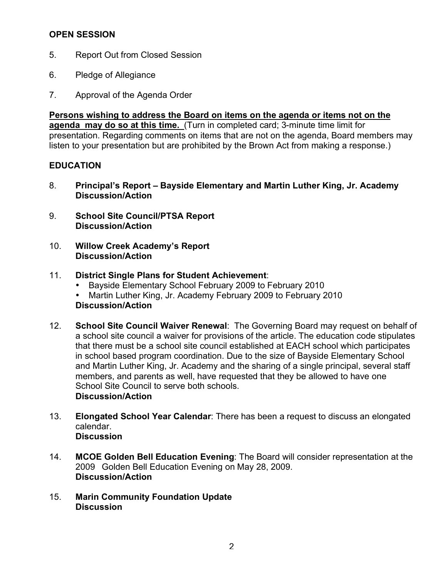# **OPEN SESSION**

- 5. Report Out from Closed Session
- 6. Pledge of Allegiance
- 7. Approval of the Agenda Order

**Persons wishing to address the Board on items on the agenda or items not on the agenda may do so at this time.** (Turn in completed card; 3-minute time limit for presentation. Regarding comments on items that are not on the agenda, Board members may listen to your presentation but are prohibited by the Brown Act from making a response.)

## **EDUCATION**

- 8. **Principal's Report Bayside Elementary and Martin Luther King, Jr. Academy Discussion/Action**
- 9. **School Site Council/PTSA Report Discussion/Action**
- 10. **Willow Creek Academy's Report Discussion/Action**

## 11. **District Single Plans for Student Achievement**:

- Bayside Elementary School February 2009 to February 2010
- Martin Luther King, Jr. Academy February 2009 to February 2010 **Discussion/Action**
- 12. **School Site Council Waiver Renewal**: The Governing Board may request on behalf of a school site council a waiver for provisions of the article. The education code stipulates that there must be a school site council established at EACH school which participates in school based program coordination. Due to the size of Bayside Elementary School and Martin Luther King, Jr. Academy and the sharing of a single principal, several staff members, and parents as well, have requested that they be allowed to have one School Site Council to serve both schools. **Discussion/Action**
- 13. **Elongated School Year Calendar**: There has been a request to discuss an elongated calendar. **Discussion**
- 14. **MCOE Golden Bell Education Evening**: The Board will consider representation at the 2009 Golden Bell Education Evening on May 28, 2009. **Discussion/Action**
- 15. **Marin Community Foundation Update Discussion**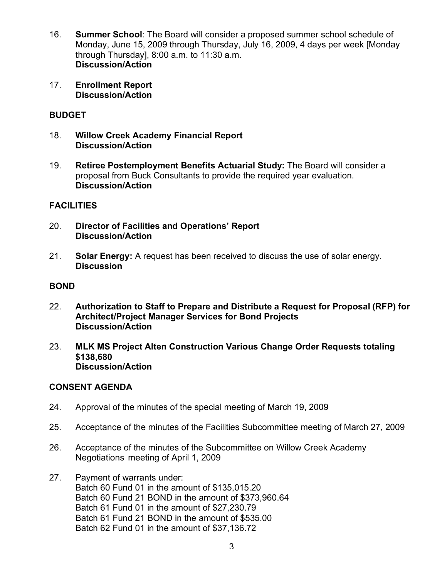- 16. **Summer School**: The Board will consider a proposed summer school schedule of Monday, June 15, 2009 through Thursday, July 16, 2009, 4 days per week [Monday through Thursday], 8:00 a.m. to 11:30 a.m. **Discussion/Action**
- 17. **Enrollment Report Discussion/Action**

# **BUDGET**

- 18. **Willow Creek Academy Financial Report Discussion/Action**
- 19. **Retiree Postemployment Benefits Actuarial Study:** The Board will consider a proposal from Buck Consultants to provide the required year evaluation. **Discussion/Action**

# **FACILITIES**

- 20. **Director of Facilities and Operations' Report Discussion/Action**
- 21. **Solar Energy:** A request has been received to discuss the use of solar energy. **Discussion**

## **BOND**

- 22. **Authorization to Staff to Prepare and Distribute a Request for Proposal (RFP) for Architect/Project Manager Services for Bond Projects Discussion/Action**
- 23. **MLK MS Project Alten Construction Various Change Order Requests totaling \$138,680 Discussion/Action**

## **CONSENT AGENDA**

- 24. Approval of the minutes of the special meeting of March 19, 2009
- 25. Acceptance of the minutes of the Facilities Subcommittee meeting of March 27, 2009
- 26. Acceptance of the minutes of the Subcommittee on Willow Creek Academy Negotiations meeting of April 1, 2009
- 27. Payment of warrants under: Batch 60 Fund 01 in the amount of \$135,015.20 Batch 60 Fund 21 BOND in the amount of \$373,960.64 Batch 61 Fund 01 in the amount of \$27,230.79 Batch 61 Fund 21 BOND in the amount of \$535.00 Batch 62 Fund 01 in the amount of \$37,136.72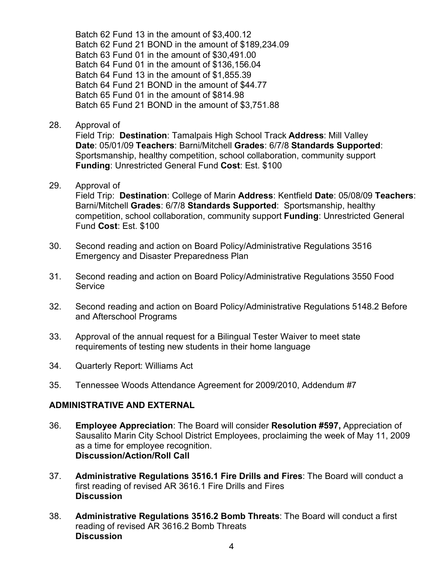Batch 62 Fund 13 in the amount of \$3,400.12 Batch 62 Fund 21 BOND in the amount of \$189,234.09 Batch 63 Fund 01 in the amount of \$30,491.00 Batch 64 Fund 01 in the amount of \$136,156.04 Batch 64 Fund 13 in the amount of \$1,855.39 Batch 64 Fund 21 BOND in the amount of \$44.77 Batch 65 Fund 01 in the amount of \$814.98 Batch 65 Fund 21 BOND in the amount of \$3,751.88

#### 28. Approval of

Field Trip: **Destination**: Tamalpais High School Track **Address**: Mill Valley **Date**: 05/01/09 **Teachers**: Barni/Mitchell **Grades**: 6/7/8 **Standards Supported**: Sportsmanship, healthy competition, school collaboration, community support **Funding**: Unrestricted General Fund **Cost**: Est. \$100

#### 29. Approval of

Field Trip: **Destination**: College of Marin **Address**: Kentfield **Date**: 05/08/09 **Teachers**: Barni/Mitchell **Grades**: 6/7/8 **Standards Supported**: Sportsmanship, healthy competition, school collaboration, community support **Funding**: Unrestricted General Fund **Cost**: Est. \$100

- 30. Second reading and action on Board Policy/Administrative Regulations 3516 Emergency and Disaster Preparedness Plan
- 31. Second reading and action on Board Policy/Administrative Regulations 3550 Food Service
- 32. Second reading and action on Board Policy/Administrative Regulations 5148.2 Before and Afterschool Programs
- 33. Approval of the annual request for a Bilingual Tester Waiver to meet state requirements of testing new students in their home language
- 34. Quarterly Report: Williams Act
- 35. Tennessee Woods Attendance Agreement for 2009/2010, Addendum #7

## **ADMINISTRATIVE AND EXTERNAL**

- 36. **Employee Appreciation**: The Board will consider **Resolution #597,** Appreciation of Sausalito Marin City School District Employees, proclaiming the week of May 11, 2009 as a time for employee recognition. **Discussion/Action/Roll Call**
- 37. **Administrative Regulations 3516.1 Fire Drills and Fires**: The Board will conduct a first reading of revised AR 3616.1 Fire Drills and Fires **Discussion**
- 38. **Administrative Regulations 3516.2 Bomb Threats**: The Board will conduct a first reading of revised AR 3616.2 Bomb Threats **Discussion**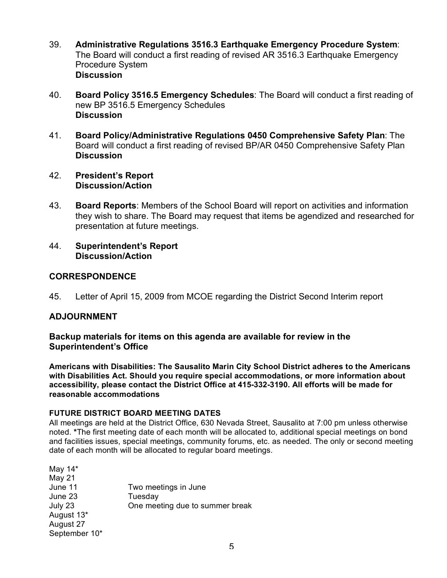- 39. **Administrative Regulations 3516.3 Earthquake Emergency Procedure System**: The Board will conduct a first reading of revised AR 3516.3 Earthquake Emergency Procedure System **Discussion**
- 40. **Board Policy 3516.5 Emergency Schedules**: The Board will conduct a first reading of new BP 3516.5 Emergency Schedules **Discussion**
- 41. **Board Policy/Administrative Regulations 0450 Comprehensive Safety Plan**: The Board will conduct a first reading of revised BP/AR 0450 Comprehensive Safety Plan **Discussion**
- 42. **President's Report Discussion/Action**
- 43. **Board Reports**: Members of the School Board will report on activities and information they wish to share. The Board may request that items be agendized and researched for presentation at future meetings.
- 44. **Superintendent's Report Discussion/Action**

## **CORRESPONDENCE**

45. Letter of April 15, 2009 from MCOE regarding the District Second Interim report

# **ADJOURNMENT**

#### **Backup materials for items on this agenda are available for review in the Superintendent's Office**

**Americans with Disabilities: The Sausalito Marin City School District adheres to the Americans with Disabilities Act. Should you require special accommodations, or more information about accessibility, please contact the District Office at 415-332-3190. All efforts will be made for reasonable accommodations**

#### **FUTURE DISTRICT BOARD MEETING DATES**

All meetings are held at the District Office, 630 Nevada Street, Sausalito at 7:00 pm unless otherwise noted. **\***The first meeting date of each month will be allocated to, additional special meetings on bond and facilities issues, special meetings, community forums, etc. as needed. The only or second meeting date of each month will be allocated to regular board meetings.

| One meeting due to summer break |
|---------------------------------|
|                                 |
|                                 |
|                                 |
|                                 |